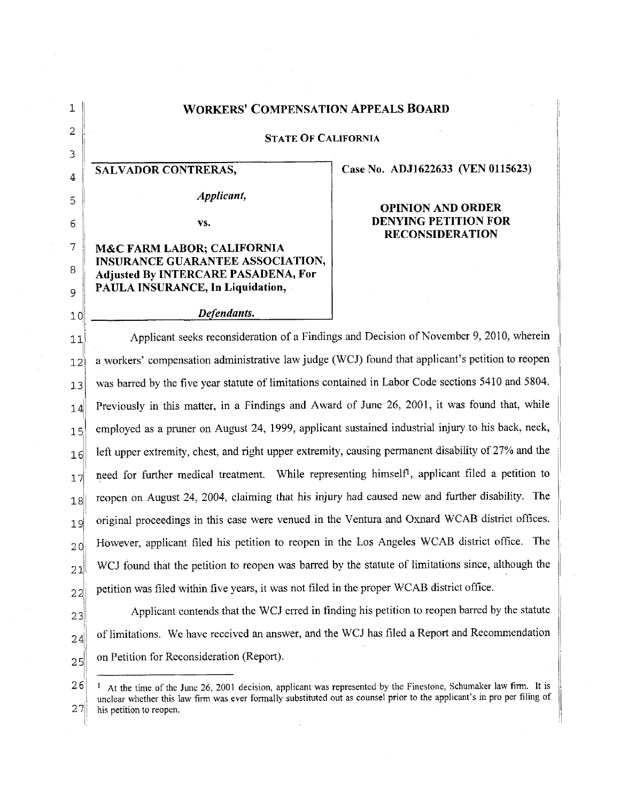## **1** WORKERS' **COMPENSATION APPEALS** BOARD 2, **STATE** OF **CALIFORNIA** 4 **SALVADOR CONTRERAS,** Case No. **ADJ1622633** (VEN 0115623) <sup>5</sup>*Applicant,* OPINION AND ORDER **6 vs. DENYING PETITION** FOR **RECONSIDERATION 7 M&C** FARM LABOR; **CALIFORNIA INSURANCE GUARANTEE ASSOCIATION, B** Adjusted **By** INTERCARE **PASADENA,** For **9 PAULA INSURANCE, In Liquidation, 10** *Defendants.* 11 **11** Applicant seeks reconsideration of a Findings and Decision of November 9, 2010, wherein 12<sup>'</sup> a workers' compensation administrative law judge (WCJ) found that applicant's petition to reopen **13** was barred by the five year statute of limitations contained in Labor Code sections 5410 and 5804.  $14$  Previously in this matter, in a Findings and Award of June 26, 2001, it was found that, while 15 employed as a pruner on August 24, 1999, applicant sustained industrial injury to his back, neck,  $\|16\|$  left upper extremity, chest, and right upper extremity, causing permanent disability of 27% and the  $|17|$  need for further medical treatment. While representing himself<sup>1</sup>, applicant filed a petition to

 $|18|$  reopen on August 24, 2004, claiming that his injury had caused new and further disability. The 19 original proceedings in this case were venued in the Ventura and Oxnard WCAB district offices.  $_{20}$  However, applicant filed his petition to reopen in the Los Angeles WCAB district office. The  $_{21}$  WCJ found that the petition to reopen was barred by the statute of limitations since, although the  $22$ , petition was filed within five years, it was not filed in the proper WCAB district office.  $23$  Applicant contends that the WCJ erred in finding his petition to reopen barred by the statute  $24$  of limitations. We have received an answer, and the WCJ has filed a Report and Recommendation

 $25$  on Petition for Reconsideration (Report).

3

**26** 1 At the time of the June 26, 2001 decision, applicant was represented by the Finestone, Schumaker law firm. It is I unclear whether this law firm was ever formally substituted out as counsel prior to the applicant's in pro per filing of his petition to reopen. his petition to reopen.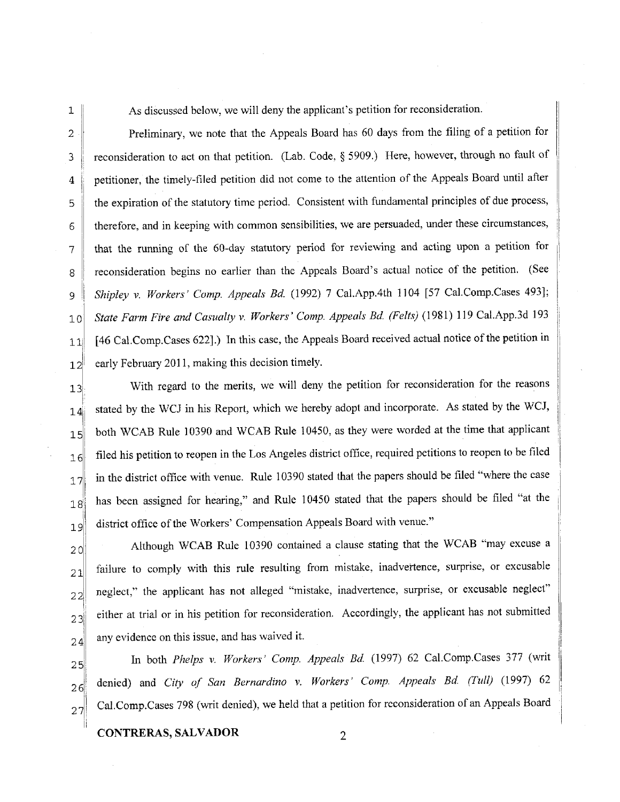1 As discussed below, we will deny the applicant's petition for reconsideration.

2 Preliminary, we note that the Appeals Board has 60 days from the filing of a petition for 3 | reconsideration to act on that petition. (Lab. Code, § 5909.) Here, however, through no fault of 4 petitioner, the timely-filed petition did not come to the attention of the Appeals Board until after 5 | the expiration of the statutory time period. Consistent with fundamental principles of due process, 6 therefore, and in keeping with common sensibilities, we are persuaded, under these circumstances, 7 that the running of the 60-day statutory period for reviewing and acting upon a petition for 8 reconsideration begins no earlier than the Appeals Board's actual notice of the petition. (See 9 *Shipley v. Workers' Comp. Appeals Bd.* (1992) 7 Cal.App.4th 1104 [57 Cal.Comp.Cases 493]; **10** *State Farm Fire and Casualty v. Workers'Comp. Appeals Bd (Felts)* **(1981) 119** Cal.App.3d **<sup>193</sup> <sup>111</sup>**[46 Cal.Comp.Cases 6221.) In this case, the Appeals Board received actual notice of the petition in  $12$ <sup> $\parallel$ </sup> early February 2011, making this decision timely.

13 With regard to the merits, we will deny the petition for reconsideration for the reasons  $14$ : stated by the WCJ in his Report, which we hereby adopt and incorporate. As stated by the WCJ, 15 both WCAB Rule 10390 and WCAB Rule 10450, as they were worded at the time that applicant  $16$  filed his petition to reopen in the Los Angeles district office, required petitions to reopen to be filed  $17$  in the district office with venue. Rule 10390 stated that the papers should be filed "where the case"  $|18|$  has been assigned for hearing," and Rule 10450 stated that the papers should be filed "at the 19 district office of the Workers' Compensation Appeals Board with venue."

20 Although WCAB Rule 10390 contained a clause stating that the WCAB "may excuse a  $21$  failure to comply with this rule resulting from mistake, inadvertence, surprise, or excusable  $|22|$  neglect," the applicant has not alleged "mistake, inadvertence, surprise, or excusable neglect"  $23$  either at trial or in his petition for reconsideration. Accordingly, the applicant has not submitted  $24$  any evidence on this issue, and has waived it.

25 In both *Phelps v. Workers' Comp. Appeals Bd* (1997) 62 Cal.Comp.Cases 377 (writ 26 denied) and *City of San Bernardino v. Workers' Comp. Appeals Bd. (Tull)* (1997) 62  $27$  Cal.Comp.Cases 798 (writ denied), we held that a petition for reconsideration of an Appeals Board

CONTRERAS, SALVADOR 2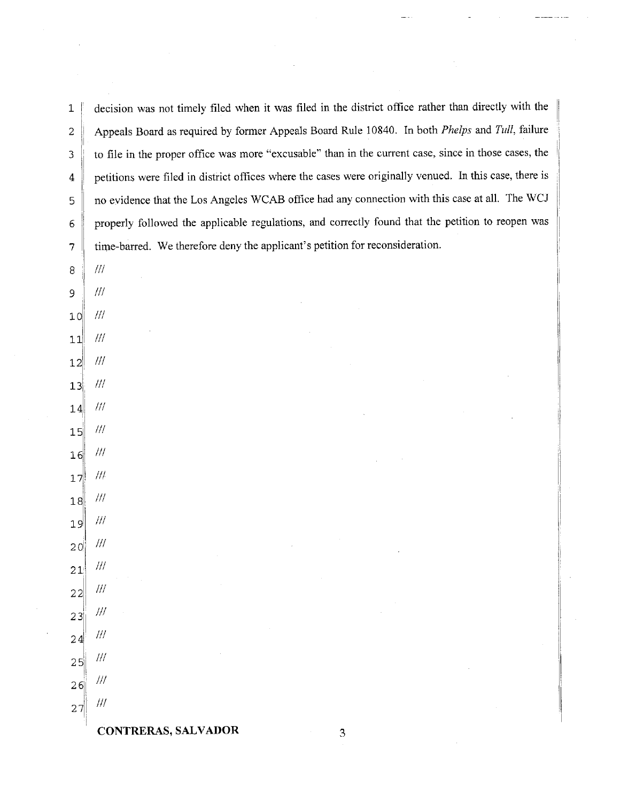| $\mathbf 1$     | decision was not timely filed when it was filed in the district office rather than directly with the    |
|-----------------|---------------------------------------------------------------------------------------------------------|
| 2               | Appeals Board as required by former Appeals Board Rule 10840. In both Phelps and Tull, failure          |
| 3               | to file in the proper office was more "excusable" than in the current case, since in those cases, the   |
| 4               | petitions were filed in district offices where the cases were originally venued. In this case, there is |
| 5               | no evidence that the Los Angeles WCAB office had any connection with this case at all. The WCJ          |
| 6               | properly followed the applicable regulations, and correctly found that the petition to reopen was       |
| 7               | time-barred. We therefore deny the applicant's petition for reconsideration.                            |
| 8               | $\frac{1}{2}$                                                                                           |
| 9               | 111                                                                                                     |
| 10              | $f\!f\!f$                                                                                               |
| 11              | ${lll}$                                                                                                 |
| 12              | $^{\prime\prime\prime}$                                                                                 |
| 13              | $\frac{1}{2}$                                                                                           |
| 14              | $^{\prime\prime\prime}$                                                                                 |
| 15              | $\frac{1}{2}$                                                                                           |
| 16              | $^{\prime\prime\prime}$                                                                                 |
| 17              | $^{\prime\prime\prime}$                                                                                 |
| 18              | $^{\prime\prime\prime}$                                                                                 |
| 19              | $\#$                                                                                                    |
| 20 <sup>°</sup> | 111                                                                                                     |
| 21              | $\frac{1}{2}$                                                                                           |
| 22              | $\mathcal{H}\mathcal{H}$                                                                                |
| 23              | $f\!/\!f$                                                                                               |
| 24              | $f\!f\!f$                                                                                               |
| 25              | $l\bar l\bar l$                                                                                         |
| 26              | $/\!/\!/$                                                                                               |
| 27              | $\ddot{III}$                                                                                            |
|                 |                                                                                                         |

li

 $\overline{3}$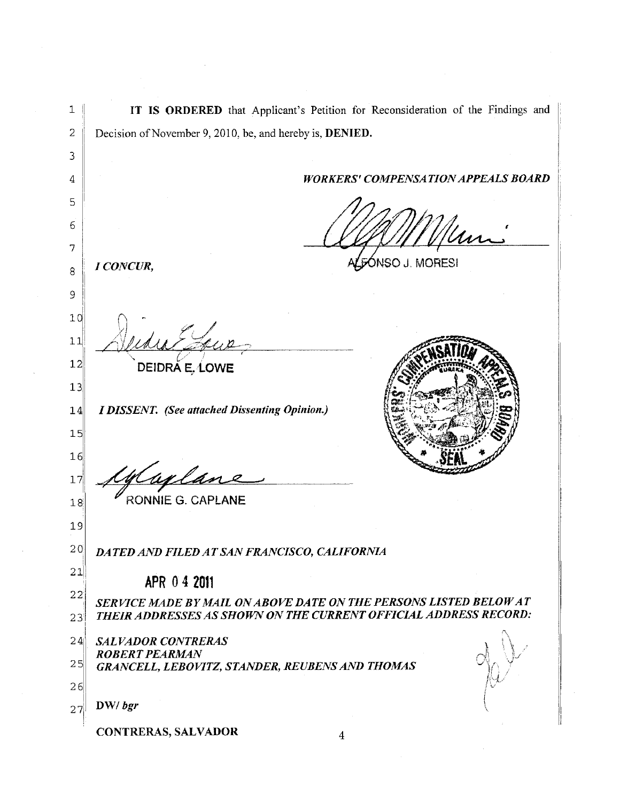IT IS ORDERED that Applicant's Petition for Reconsideration of the Findings and  $\mathbf{1}$  $\sqrt{2}$ Decision of November 9, 2010, be, and hereby is, **DENIED.** 3 **WORKERS' COMPENSATION APPEALS BOARD** 4 5 6 7 ÓNSO J. MORESI I CONCUR, 8 9  $10$  $11$  $12$ DEIDRA E, LOWE  $13$ **I DISSENT.** (See attached Dissenting Opinion.)  $14$  $15$  $16$ welan  $17$ RONNIE G. CAPLANE  $18$  $19$  $20$ DATED AND FILED AT SAN FRANCISCO, CALIFORNIA 21 APR 0 4 2011 22 SERVICE MADE BY MAIL ON ABOVE DATE ON THE PERSONS LISTED BELOW AT THEIR ADDRESSES AS SHOWN ON THE CURRENT OFFICIAL ADDRESS RECORD:  $23<sup>°</sup>$  $24$ **SALVADOR CONTRERAS ROBERT PEARMAN**  $25$ GRANCELL, LEBOVITZ, STANDER, REUBENS AND THOMAS  $26$  $DW/$  bgr  $27<sup>1</sup>$ **CONTRERAS, SALVADOR**  $\overline{\mathbf{4}}$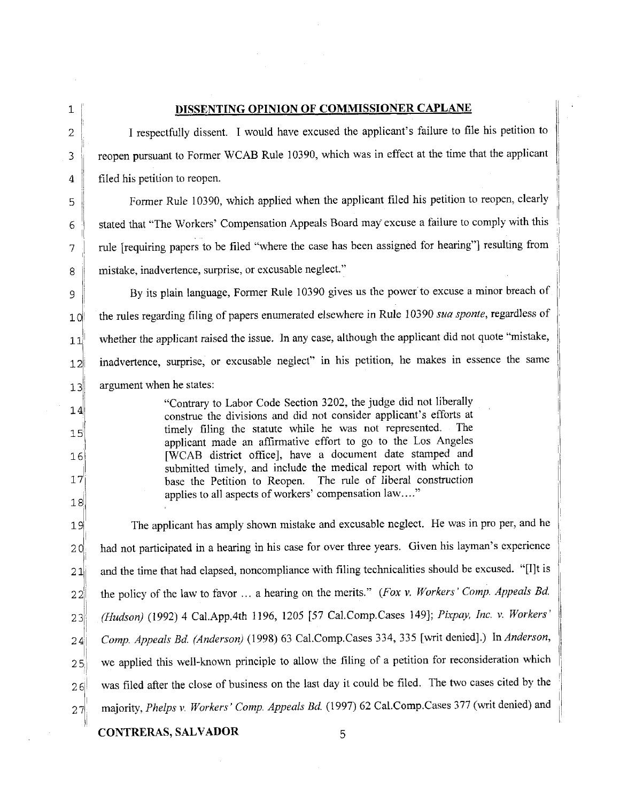18

## **1** DISSENTING OPINION OF COMMISSIONER CAPLANE

<sup>2</sup>**I** respectfully dissent. I would have excused the applicant's failure to file his petition to **3** reopen pursuant to Former WCAB Rule 10390, which was in effect at the time that the applicant 4 filed his petition to reopen.

**<sup>5</sup>**Former Rule 10390, which applied when the applicant filed his petition to reopen, clearly 6 Stated that "The Workers' Compensation Appeals Board may excuse a failure to comply with this 7 rule [requiring papers to be filed "where the case has been assigned for hearing"] resulting from **8** mistake, inadvertence, surprise, or excusable neglect."

**9 By its plain language, Former Rule 10390 gives us the power to excuse a minor breach of <sup>101</sup>**the rules regarding filing of papers enumerated elsewhere in Rule 10390 *sua sponte,* regardless of 11<sup> whether the applicant raised the issue. In any case, although the applicant did not quote "mistake,</sup> 12<sup>1</sup> inadvertence, surprise, or excusable neglect" in his petition, he makes in essence the same **131** argument when he states:

<sup>4</sup>Contrary to Labor Code Section 3202, the judge did not liberally construe the divisions and did not consider applicant's efforts at 15<sup>1</sup>timely filing the statute while he was not represented. The applicant made an affirmative effort to go to the Los Angeles **<sup>161</sup>!** [WCAB district office], have a document date stamped and submitted timely, and include the medical report with which to **17** base the Petition to Reopen. The rule of liberal construction applies to all aspects of workers' compensation law...."

19 The applicant has amply shown mistake and excusable neglect. He was in pro per, and he 20 had not participated in a hearing in his case for over three years. Given his layman's experience  $21$  and the time that had elapsed, noncompliance with filing technicalities should be excused. "[I]t is 22<sup> $\parallel$ </sup> the policy of the law to favor ... a hearing on the merits." *(Fox v. Workers' Comp. Appeals Bd.* 23 *(Hudson)* (1992) 4 Cal.App.4th 1196, 1205 [57 Cal.Comp.Cases 149]; *Pixpay, Inc. v. Workers'* 24 *Comp. Appeals Bd. (Anderson)* (1998) 63 Cal.Comp.Cases 334, 335 [writ denied].) In *Anderson,* 2 **5** we applied this well-known principle to allow the filing of a petition for reconsideration which 26<sup> awas</sup> filed after the close of business on the last day it could be filed. The two cases cited by the 27<sup>m</sup> majority, *Phelps v. Workers' Comp. Appeals Bd.* (1997) 62 Cal.Comp.Cases 377 (writ denied) and

CONTRERAS, SALVADOR 5